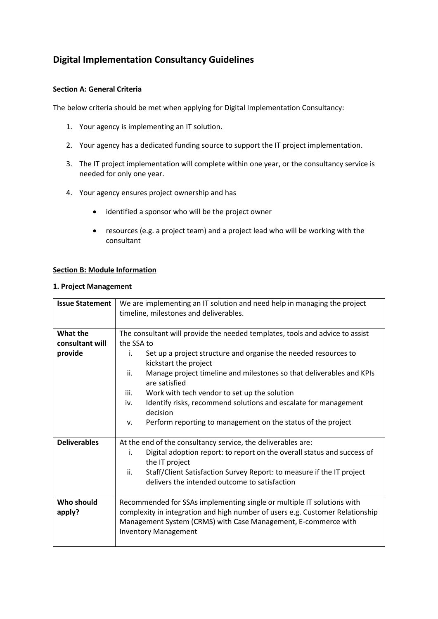# **Digital Implementation Consultancy Guidelines**

### **Section A: General Criteria**

The below criteria should be met when applying for Digital Implementation Consultancy:

- 1. Your agency is implementing an IT solution.
- 2. Your agency has a dedicated funding source to support the IT project implementation.
- 3. The IT project implementation will complete within one year, or the consultancy service is needed for only one year.
- 4. Your agency ensures project ownership and has
	- identified a sponsor who will be the project owner
	- resources (e.g. a project team) and a project lead who will be working with the consultant

#### **Section B: Module Information**

#### **1. Project Management**

| <b>Issue Statement</b> | We are implementing an IT solution and need help in managing the project                     |
|------------------------|----------------------------------------------------------------------------------------------|
|                        | timeline, milestones and deliverables.                                                       |
|                        |                                                                                              |
| What the               | The consultant will provide the needed templates, tools and advice to assist                 |
| consultant will        | the SSA to                                                                                   |
| provide                | Set up a project structure and organise the needed resources to<br>i.                        |
|                        | kickstart the project                                                                        |
|                        | ii.<br>Manage project timeline and milestones so that deliverables and KPIs<br>are satisfied |
|                        | iii.<br>Work with tech vendor to set up the solution                                         |
|                        | Identify risks, recommend solutions and escalate for management<br>iv.                       |
|                        | decision                                                                                     |
|                        | Perform reporting to management on the status of the project<br>v.                           |
|                        |                                                                                              |
| <b>Deliverables</b>    | At the end of the consultancy service, the deliverables are:                                 |
|                        | Digital adoption report: to report on the overall status and success of<br>i.                |
|                        | the IT project                                                                               |
|                        | ii.<br>Staff/Client Satisfaction Survey Report: to measure if the IT project                 |
|                        | delivers the intended outcome to satisfaction                                                |
|                        |                                                                                              |
| Who should             | Recommended for SSAs implementing single or multiple IT solutions with                       |
| apply?                 | complexity in integration and high number of users e.g. Customer Relationship                |
|                        | Management System (CRMS) with Case Management, E-commerce with                               |
|                        | <b>Inventory Management</b>                                                                  |
|                        |                                                                                              |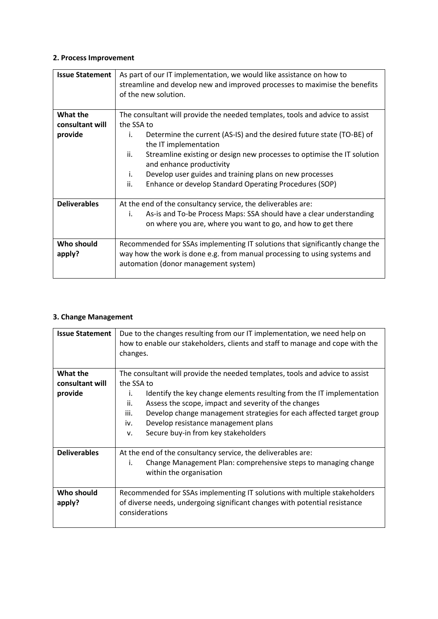#### **2. Process Improvement**

| <b>Issue Statement</b> | As part of our IT implementation, we would like assistance on how to<br>streamline and develop new and improved processes to maximise the benefits<br>of the new solution. |
|------------------------|----------------------------------------------------------------------------------------------------------------------------------------------------------------------------|
| What the               | The consultant will provide the needed templates, tools and advice to assist                                                                                               |
| consultant will        | the SSA to                                                                                                                                                                 |
| provide                | Determine the current (AS-IS) and the desired future state (TO-BE) of<br>i.<br>the IT implementation                                                                       |
|                        | ii.<br>Streamline existing or design new processes to optimise the IT solution<br>and enhance productivity                                                                 |
|                        | Develop user guides and training plans on new processes<br>i.                                                                                                              |
|                        | ii.<br>Enhance or develop Standard Operating Procedures (SOP)                                                                                                              |
| <b>Deliverables</b>    | At the end of the consultancy service, the deliverables are:                                                                                                               |
|                        | As-is and To-be Process Maps: SSA should have a clear understanding<br>i.                                                                                                  |
|                        | on where you are, where you want to go, and how to get there                                                                                                               |
| Who should             | Recommended for SSAs implementing IT solutions that significantly change the                                                                                               |
| apply?                 | way how the work is done e.g. from manual processing to using systems and<br>automation (donor management system)                                                          |

## **3. Change Management**

| <b>Issue Statement</b>                 | Due to the changes resulting from our IT implementation, we need help on<br>how to enable our stakeholders, clients and staff to manage and cope with the<br>changes.                                                                                                                                                                                                                                              |
|----------------------------------------|--------------------------------------------------------------------------------------------------------------------------------------------------------------------------------------------------------------------------------------------------------------------------------------------------------------------------------------------------------------------------------------------------------------------|
| What the<br>consultant will<br>provide | The consultant will provide the needed templates, tools and advice to assist<br>the SSA to<br>Identify the key change elements resulting from the IT implementation<br>i.<br>ii.<br>Assess the scope, impact and severity of the changes<br>Develop change management strategies for each affected target group<br>iii.<br>Develop resistance management plans<br>iv.<br>Secure buy-in from key stakeholders<br>v. |
| <b>Deliverables</b>                    | At the end of the consultancy service, the deliverables are:<br>Change Management Plan: comprehensive steps to managing change<br>i.<br>within the organisation                                                                                                                                                                                                                                                    |
| Who should<br>apply?                   | Recommended for SSAs implementing IT solutions with multiple stakeholders<br>of diverse needs, undergoing significant changes with potential resistance<br>considerations                                                                                                                                                                                                                                          |